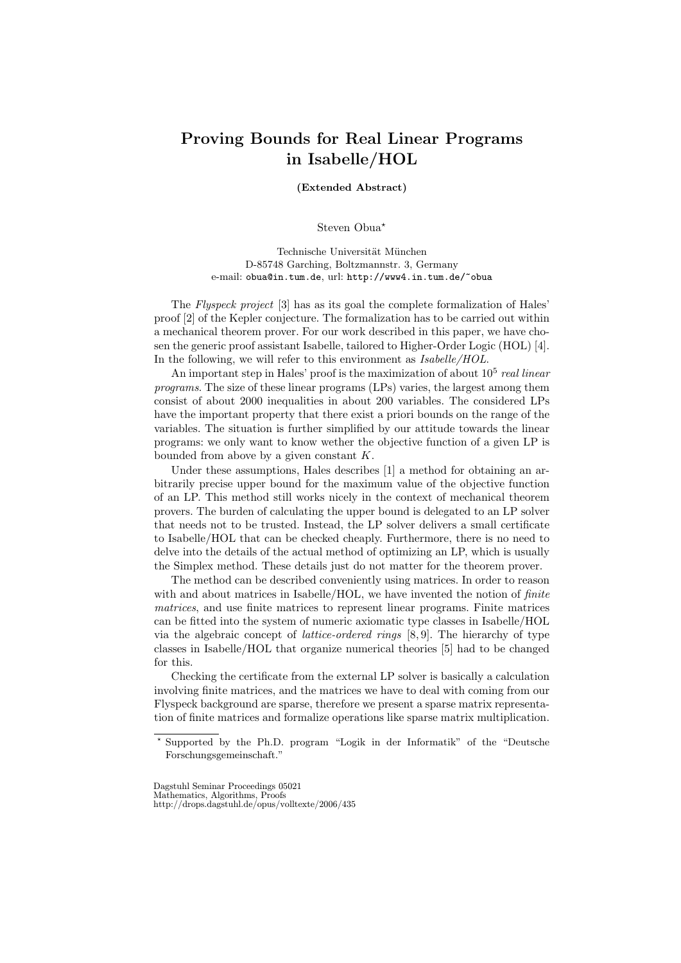## Proving Bounds for Real Linear Programs in Isabelle/HOL

(Extended Abstract)

Steven Obua<sup>\*</sup>

Technische Universität München D-85748 Garching, Boltzmannstr. 3, Germany e-mail: obua@in.tum.de, url: http://www4.in.tum.de/~obua

The Flyspeck project [3] has as its goal the complete formalization of Hales' proof [2] of the Kepler conjecture. The formalization has to be carried out within a mechanical theorem prover. For our work described in this paper, we have chosen the generic proof assistant Isabelle, tailored to Higher-Order Logic (HOL) [4]. In the following, we will refer to this environment as  $Isabelle/HOL$ .

An important step in Hales' proof is the maximization of about  $10^5$  real linear programs. The size of these linear programs (LPs) varies, the largest among them consist of about 2000 inequalities in about 200 variables. The considered LPs have the important property that there exist a priori bounds on the range of the variables. The situation is further simplified by our attitude towards the linear programs: we only want to know wether the objective function of a given LP is bounded from above by a given constant  $K$ .

Under these assumptions, Hales describes [1] a method for obtaining an arbitrarily precise upper bound for the maximum value of the objective function of an LP. This method still works nicely in the context of mechanical theorem provers. The burden of calculating the upper bound is delegated to an LP solver that needs not to be trusted. Instead, the LP solver delivers a small certificate to Isabelle/HOL that can be checked cheaply. Furthermore, there is no need to delve into the details of the actual method of optimizing an LP, which is usually the Simplex method. These details just do not matter for the theorem prover.

The method can be described conveniently using matrices. In order to reason with and about matrices in Isabelle/HOL, we have invented the notion of *finite* matrices, and use finite matrices to represent linear programs. Finite matrices can be fitted into the system of numeric axiomatic type classes in Isabelle/HOL via the algebraic concept of lattice-ordered rings [8, 9]. The hierarchy of type classes in Isabelle/HOL that organize numerical theories [5] had to be changed for this.

Checking the certificate from the external LP solver is basically a calculation involving finite matrices, and the matrices we have to deal with coming from our Flyspeck background are sparse, therefore we present a sparse matrix representation of finite matrices and formalize operations like sparse matrix multiplication.

<sup>?</sup> Supported by the Ph.D. program "Logik in der Informatik" of the "Deutsche Forschungsgemeinschaft."

Dagstuhl Seminar Proceedings 05021

Mathematics, Algorithms, Proofs http://drops.dagstuhl.de/opus/volltexte/2006/435